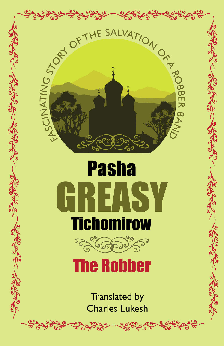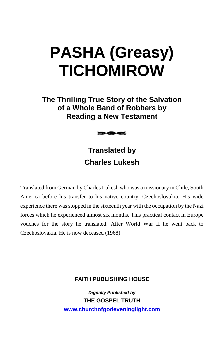# **PASHA (Greasy) TICHOMIROW**

**The Thrilling True Story of the Salvation of a Whole Band of Robbers by Reading a New Testament** 



# **Translated by Charles Lukesh**

Translated from German by Charles Lukesh who was a missionary in Chile, South America before his transfer to his native country, Czechoslovakia. His wide experience there was stopped in the sixteenth year with the occupation by the Nazi forces which he experienced almost six months. This practical contact in Europe vouches for the story he translated. After World War II he went back to Czechoslovakia. He is now deceased (1968).

#### **FAITH PUBLISHING HOUSE**

*Digitally Published by* **THE GOSPEL TRUTH www.churchofgodeveninglight.com**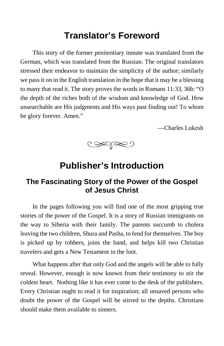# **Translator's Foreword**

This story of the former penitentiary inmate was translated from the German, which was translated from the Russian. The original translators stressed their endeavor to maintain the simplicity of the author; similarly we pass it on in the English translation in the hope that it may be a blessing to many that read it. The story proves the words in Romans 11:33, 36b: "O the depth of the riches both of the wisdom and knowledge of God. How unsearchable are His judgments and His ways past finding out! To whom be glory forever. Amen."

—Charles Lukesh



# **Publisher's Introduction**

# **The Fascinating Story of the Power of the Gospel of Jesus Christ**

In the pages following you will find one of the most gripping true stories of the power of the Gospel. It is a story of Russian immigrants on the way to Siberia with their family. The parents succumb to cholera leaving the two children, Shura and Pasha, to fend for themselves. The boy is picked up by robbers, joins the band, and helps kill two Christian travelers and gets a New Testament in the loot.

What happens after that only God and the angels will be able to fully reveal. However, enough is now known from their testimony to stir the coldest heart. Nothing like it has ever come to the desk of the publishers. Every Christian ought to read it for inspiration; all unsaved persons who doubt the power of the Gospel will be stirred to the depths. Christians should make them available to sinners.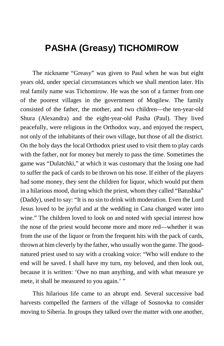# **PASHA (Greasy) TICHOMIROW**

The nickname "Greasy" was given to Paul when he was but eight years old, under special circumstances which we shall mention later. His real family name was Tichomirow. He was the son of a farmer from one of the poorest villages in the government of Mogilew. The family consisted of the father, the mother, and two children—the ten-year-old Shura (Alexandra) and the eight-year-old Pasha (Paul). They lived peacefully, were religious in the Orthodox way, and enjoyed the respect, not only of the inhabitants of their own village, but those of all the district. On the holy days the local Orthodox priest used to visit them to play cards with the father, not for money but merely to pass the time. Sometimes the game was "Dulatchki," at which it was customary that the losing one had to suffer the pack of cards to be thrown on his nose. If either of the players had some money, they sent the children for liquor, which would put them in a hilarious mood, during which the priest, whom they called "Batushka" (Daddy), used to say: "It is no sin to drink with moderation. Even the Lord Jesus loved to be joyful and at the wedding in Cana changed water into wine." The children loved to look on and noted with special interest how the nose of the priest would become more and more red—whether it was from the use of the liquor or from the frequent hits with the pack of cards, thrown at him cleverly by the father, who usually won the game. The goodnatured priest used to say with a croaking voice: "Who will endure to the end will be saved. I shall have my turn, my beloved, and then look out, because it is written: 'Owe no man anything, and with what measure ye mete, it shall be measured to you again.' "

This hilarious life came to an abrupt end. Several successive bad harvests compelled the farmers of the village of Sosnovka to consider moving to Siberia. In groups they talked over the matter with one another,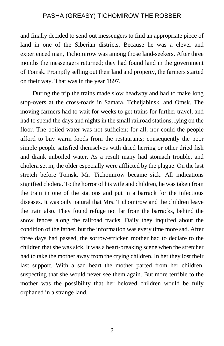and finally decided to send out messengers to find an appropriate piece of land in one of the Siberian districts. Because he was a clever and experienced man, Tichomirow was among those land-seekers. After three months the messengers returned; they had found land in the government of Tomsk. Promptly selling out their land and property, the farmers started on their way. That was in the year 1897.

During the trip the trains made slow headway and had to make long stop-overs at the cross-roads in Samara, Tcheljabinsk, and Omsk. The moving farmers had to wait for weeks to get trains for further travel, and had to spend the days and nights in the small railroad stations, lying on the floor. The boiled water was not sufficient for all; nor could the people afford to buy warm foods from the restaurants; consequently the poor simple people satisfied themselves with dried herring or other dried fish and drank unboiled water. As a result many had stomach trouble, and cholera set in; the older especially were afflicted by the plague. On the last stretch before Tomsk, Mr. Tichomirow became sick. All indications signified cholera. To the horror of his wife and children, he was taken from the train in one of the stations and put in a barrack for the infectious diseases. It was only natural that Mrs. Tichomirow and the children leave the train also. They found refuge not far from the barracks, behind the snow fences along the railroad tracks. Daily they inquired about the condition of the father, but the information was every time more sad. After three days had passed, the sorrow-stricken mother had to declare to the children that she was sick. It was a heart-breaking scene when the stretcher had to take the mother away from the crying children. In her they lost their last support. With a sad heart the mother parted from her children, suspecting that she would never see them again. But more terrible to the mother was the possibility that her beloved children would be fully orphaned in a strange land.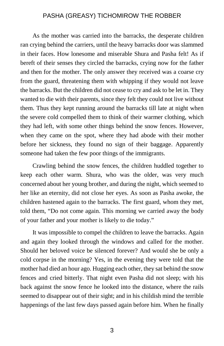As the mother was carried into the barracks, the desperate children ran crying behind the carriers, until the heavy barracks door was slammed in their faces. How lonesome and miserable Shura and Pasha felt! As if bereft of their senses they circled the barracks, crying now for the father and then for the mother. The only answer they received was a coarse cry from the guard, threatening them with whipping if they would not leave the barracks. But the children did not cease to cry and ask to be let in. They wanted to die with their parents, since they felt they could not live without them. Thus they kept running around the barracks till late at night when the severe cold compelled them to think of their warmer clothing, which they had left, with some other things behind the snow fences. However, when they came on the spot, where they had abode with their mother before her sickness, they found no sign of their baggage. Apparently someone had taken the few poor things of the immigrants.

Crawling behind the snow fences, the children huddled together to keep each other warm. Shura, who was the older, was very much concerned about her young brother, and during the night, which seemed to her like an eternity, did not close her eyes. As soon as Pasha awoke, the children hastened again to the barracks. The first guard, whom they met, told them, "Do not come again. This morning we carried away the body of your father and your mother is likely to die today."

It was impossible to compel the children to leave the barracks. Again and again they looked through the windows and called for the mother. Should her beloved voice be silenced forever? And would she be only a cold corpse in the morning? Yes, in the evening they were told that the mother had died an hour ago. Hugging each other, they sat behind the snow fences and cried bitterly. That night even Pasha did not sleep; with his back against the snow fence he looked into the distance, where the rails seemed to disappear out of their sight; and in his childish mind the terrible happenings of the last few days passed again before him. When he finally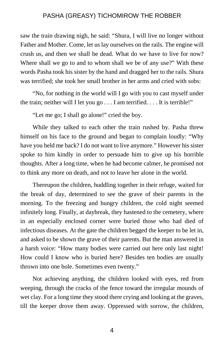saw the train drawing nigh, he said: "Shura, I will live no longer without Father and Mother. Come, let us lay ourselves on the rails. The engine will crush us, and then we shall be dead. What do we have to live for now? Where shall we go to and to whom shall we be of any use?" With these words Pasha took his sister by the hand and dragged her to the rails. Shura was terrified; she took her small brother in her arms and cried with sobs:

"No, for nothing in the world will I go with you to cast myself under the train; neither will I let you go . . . I am terrified. . . . It is terrible!"

"Let me go; I shall go alone!" cried the boy.

While they talked to each other the train rushed by. Pasha threw himself on his face to the ground and began to complain loudly: "Why have you held me back? I do not want to live anymore." However his sister spoke to him kindly in order to persuade him to give up his horrible thoughts. After a long time, when he had become calmer, he promised not to think any more on death, and not to leave her alone in the world.

Thereupon the children, huddling together in their refuge, waited for the break of day, determined to see the grave of their parents in the morning. To the freezing and hungry children, the cold night seemed infinitely long. Finally, at daybreak, they hastened to the cemetery, where in an especially enclosed corner were buried those who had died of infectious diseases. At the gate the children begged the keeper to be let in, and asked to be shown the grave of their parents. But the man answered in a harsh voice: "How many bodies were carried out here only last night! How could I know who is buried here? Besides ten bodies are usually thrown into one hole. Sometimes even twenty."

Not achieving anything, the children looked with eyes, red from weeping, through the cracks of the fence toward the irregular mounds of wet clay. For a long time they stood there crying and looking at the graves, till the keeper drove them away. Oppressed with sorrow, the children,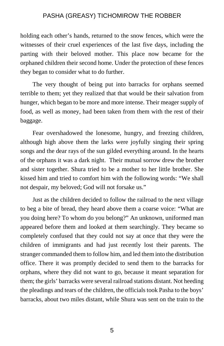holding each other's hands, returned to the snow fences, which were the witnesses of their cruel experiences of the last five days, including the parting with their beloved mother. This place now became for the orphaned children their second home. Under the protection of these fences they began to consider what to do further.

The very thought of being put into barracks for orphans seemed terrible to them; yet they realized that that would be their salvation from hunger, which began to be more and more intense. Their meager supply of food, as well as money, had been taken from them with the rest of their baggage.

Fear overshadowed the lonesome, hungry, and freezing children, although high above them the larks were joyfully singing their spring songs and the dear rays of the sun gilded everything around. In the hearts of the orphans it was a dark night. Their mutual sorrow drew the brother and sister together. Shura tried to be a mother to her little brother. She kissed him and tried to comfort him with the following words: "We shall not despair, my beloved; God will not forsake us."

Just as the children decided to follow the railroad to the next village to beg a bite of bread, they heard above them a coarse voice: "What are you doing here? To whom do you belong?" An unknown, uniformed man appeared before them and looked at them searchingly. They became so completely confused that they could not say at once that they were the children of immigrants and had just recently lost their parents. The stranger commanded them to follow him, and led them into the distribution office. There it was promptly decided to send them to the barracks for orphans, where they did not want to go, because it meant separation for them; the girls' barracks were several railroad stations distant. Not heeding the pleadings and tears of the children, the officials took Pasha to the boys' barracks, about two miles distant, while Shura was sent on the train to the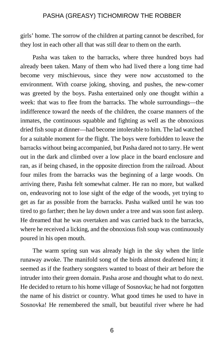girls' home. The sorrow of the children at parting cannot be described, for they lost in each other all that was still dear to them on the earth.

Pasha was taken to the barracks, where three hundred boys had already been taken. Many of them who had lived there a long time had become very mischievous, since they were now accustomed to the environment. With coarse joking, shoving, and pushes, the new-comer was greeted by the boys. Pasha entertained only one thought within a week: that was to flee from the barracks. The whole surroundings—the indifference toward the needs of the children, the coarse manners of the inmates, the continuous squabble and fighting as well as the obnoxious dried fish soup at dinner—had become intolerable to him. The lad watched for a suitable moment for the flight. The boys were forbidden to leave the barracks without being accompanied, but Pasha dared not to tarry. He went out in the dark and climbed over a low place in the board enclosure and ran, as if being chased, in the opposite direction from the railroad. About four miles from the barracks was the beginning of a large woods. On arriving there, Pasha felt somewhat calmer. He ran no more, but walked on, endeavoring not to lose sight of the edge of the woods, yet trying to get as far as possible from the barracks. Pasha walked until he was too tired to go farther; then he lay down under a tree and was soon fast asleep. He dreamed that he was overtaken and was carried back to the barracks, where he received a licking, and the obnoxious fish soup was continuously poured in his open mouth.

The warm spring sun was already high in the sky when the little runaway awoke. The manifold song of the birds almost deafened him; it seemed as if the feathery songsters wanted to boast of their art before the intruder into their green domain. Pasha arose and thought what to do next. He decided to return to his home village of Sosnovka; he had not forgotten the name of his district or country. What good times he used to have in Sosnovka! He remembered the small, but beautiful river where he had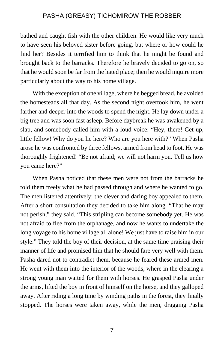bathed and caught fish with the other children. He would like very much to have seen his beloved sister before going, but where or how could he find her? Besides it terrified him to think that he might be found and brought back to the barracks. Therefore he bravely decided to go on, so that he would soon be far from the hated place; then he would inquire more particularly about the way to his home village.

With the exception of one village, where he begged bread, he avoided the homesteads all that day. As the second night overtook him, he went farther and deeper into the woods to spend the night. He lay down under a big tree and was soon fast asleep. Before daybreak he was awakened by a slap, and somebody called him with a loud voice: "Hey, there! Get up, little fellow! Why do you lie here? Who are you here with?" When Pasha arose he was confronted by three fellows, armed from head to foot. He was thoroughly frightened! "Be not afraid; we will not harm you. Tell us how you came here?"

When Pasha noticed that these men were not from the barracks he told them freely what he had passed through and where he wanted to go. The men listened attentively; the clever and daring boy appealed to them. After a short consultation they decided to take him along. "That he may not perish," they said. "This stripling can become somebody yet. He was not afraid to flee from the orphanage, and now he wants to undertake the long voyage to his home village all alone! We just have to raise him in our style." They told the boy of their decision, at the same time praising their manner of life and promised him that he should fare very well with them. Pasha dared not to contradict them, because he feared these armed men. He went with them into the interior of the woods, where in the clearing a strong young man waited for them with horses. He grasped Pasha under the arms, lifted the boy in front of himself on the horse, and they galloped away. After riding a long time by winding paths in the forest, they finally stopped. The horses were taken away, while the men, dragging Pasha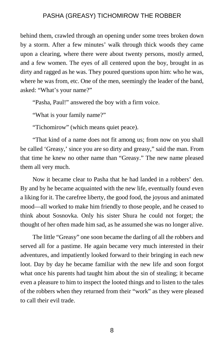behind them, crawled through an opening under some trees broken down by a storm. After a few minutes' walk through thick woods they came upon a clearing, where there were about twenty persons, mostly armed, and a few women. The eyes of all centered upon the boy, brought in as dirty and ragged as he was. They poured questions upon him: who he was, where he was from, etc. One of the men, seemingly the leader of the band, asked: "What's your name?"

"Pasha, Paul!" answered the boy with a firm voice.

"What is your family name?"

"Tichomirow" (which means quiet peace).

"That kind of a name does not fit among us; from now on you shall be called 'Greasy,' since you are so dirty and greasy," said the man. From that time he knew no other name than "Greasy." The new name pleased them all very much.

Now it became clear to Pasha that he had landed in a robbers' den. By and by he became acquainted with the new life, eventually found even a liking for it. The carefree liberty, the good food, the joyous and animated mood—all worked to make him friendly to those people, and he ceased to think about Sosnovka. Only his sister Shura he could not forget; the thought of her often made him sad, as he assumed she was no longer alive.

The little "Greasy" one soon became the darling of all the robbers and served all for a pastime. He again became very much interested in their adventures, and impatiently looked forward to their bringing in each new loot. Day by day he became familiar with the new life and soon forgot what once his parents had taught him about the sin of stealing; it became even a pleasure to him to inspect the looted things and to listen to the tales of the robbers when they returned from their "work" as they were pleased to call their evil trade.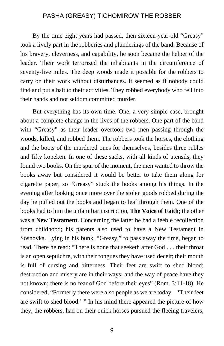By the time eight years had passed, then sixteen-year-old "Greasy" took a lively part in the robberies and plunderings of the band. Because of his bravery, cleverness, and capability, he soon became the helper of the leader. Their work terrorized the inhabitants in the circumference of seventy-five miles. The deep woods made it possible for the robbers to carry on their work without disturbances. It seemed as if nobody could find and put a halt to their activities. They robbed everybody who fell into their hands and not seldom committed murder.

But everything has its own time. One, a very simple case, brought about a complete change in the lives of the robbers. One part of the band with "Greasy" as their leader overtook two men passing through the woods, killed, and robbed them. The robbers took the horses, the clothing and the boots of the murdered ones for themselves, besides three rubles and fifty kopeken. In one of these sacks, with all kinds of utensils, they found two books. On the spur of the moment, the men wanted to throw the books away but considered it would be better to take them along for cigarette paper, so "Greasy" stuck the books among his things. In the evening after looking once more over the stolen goods robbed during the day he pulled out the books and began to leaf through them. One of the books had to him the unfamiliar inscription, **The Voice of Faith**; the other was a **New Testament**. Concerning the latter he had a feeble recollection from childhood; his parents also used to have a New Testament in Sosnovka. Lying in his bunk, "Greasy," to pass away the time, began to read. There he read: "There is none that seeketh after God . . . their throat is an open sepulchre, with their tongues they have used deceit; their mouth is full of cursing and bitterness. Their feet are swift to shed blood; destruction and misery are in their ways; and the way of peace have they not known; there is no fear of God before their eyes" (Rom. 3:11-18). He considered, "Formerly there were also people as we are today—'Their feet are swift to shed blood.' " In his mind there appeared the picture of how they, the robbers, had on their quick horses pursued the fleeing travelers,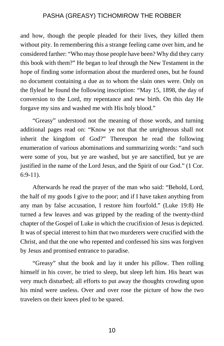and how, though the people pleaded for their lives, they killed them without pity. In remembering this a strange feeling came over him, and he considered farther: "Who may those people have been? Why did they carry this book with them?" He began to leaf through the New Testament in the hope of finding some information about the murdered ones, but he found no document containing a due as to whom the slain ones were. Only on the flyleaf he found the following inscription: "May 15, 1898, the day of conversion to the Lord, my repentance and new birth. On this day He forgave my sins and washed me with His holy blood."

"Greasy" understood not the meaning of those words, and turning additional pages read on: "Know ye not that the unrighteous shall not inherit the kingdom of God?" Thereupon he read the following enumeration of various abominations and summarizing words: "and such were some of you, but ye are washed, but ye are sanctified, but ye are justified in the name of the Lord Jesus, and the Spirit of our God." (1 Cor. 6:9-11).

Afterwards he read the prayer of the man who said: "Behold, Lord, the half of my goods I give to the poor; and if I have taken anything from any man by false accusation, I restore him fourfold." (Luke 19:8) He turned a few leaves and was gripped by the reading of the twenty-third chapter of the Gospel of Luke in which the crucifixion of Jesus is depicted. It was of special interest to him that two murderers were crucified with the Christ, and that the one who repented and confessed his sins was forgiven by Jesus and promised entrance to paradise.

"Greasy" shut the book and lay it under his pillow. Then rolling himself in his cover, he tried to sleep, but sleep left him. His heart was very much disturbed; all efforts to put away the thoughts crowding upon his mind were useless. Over and over rose the picture of how the two travelers on their knees pled to be spared.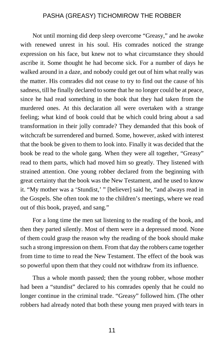Not until morning did deep sleep overcome "Greasy," and he awoke with renewed unrest in his soul. His comrades noticed the strange expression on his face, but knew not to what circumstance they should ascribe it. Some thought he had become sick. For a number of days he walked around in a daze, and nobody could get out of him what really was the matter. His comrades did not cease to try to find out the cause of his sadness, till he finally declared to some that he no longer could be at peace, since he had read something in the book that they had taken from the murdered ones. At this declaration all were overtaken with a strange feeling; what kind of book could that be which could bring about a sad transformation in their jolly comrade? They demanded that this book of witchcraft be surrendered and burned. Some, however, asked with interest that the book be given to them to look into. Finally it was decided that the book be read to the whole gang. When they were all together, "Greasy" read to them parts, which had moved him so greatly. They listened with strained attention. One young robber declared from the beginning with great certainty that the book was the New Testament, and he used to know it. "My mother was a 'Stundist,' " [believer] said he, "and always read in the Gospels. She often took me to the children's meetings, where we read out of this book, prayed, and sang."

For a long time the men sat listening to the reading of the book, and then they parted silently. Most of them were in a depressed mood. None of them could grasp the reason why the reading of the book should make such a strong impression on them. From that day the robbers came together from time to time to read the New Testament. The effect of the book was so powerful upon them that they could not withdraw from its influence.

Thus a whole month passed; then the young robber, whose mother had been a "stundist" declared to his comrades openly that he could no longer continue in the criminal trade. "Greasy" followed him. (The other robbers had already noted that both these young men prayed with tears in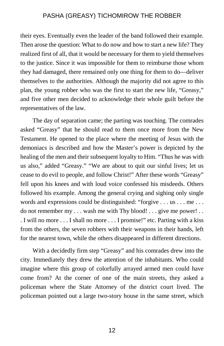their eyes. Eventually even the leader of the band followed their example. Then arose the question: What to do now and how to start a new life? They realized first of all, that it would be necessary for them to yield themselves to the justice. Since it was impossible for them to reimburse those whom they had damaged, there remained only one thing for them to do—deliver themselves to the authorities. Although the majority did not agree to this plan, the young robber who was the first to start the new life, "Greasy," and five other men decided to acknowledge their whole guilt before the representatives of the law.

The day of separation came; the parting was touching. The comrades asked "Greasy" that he should read to them once more from the New Testament. He opened to the place where the meeting of Jesus with the demoniacs is described and how the Master's power is depicted by the healing of the men and their subsequent loyalty to Him. "Thus he was with us also," added "Greasy." "We are about to quit our sinful lives; let us cease to do evil to people, and follow Christ!" After these words "Greasy" fell upon his knees and with loud voice confessed his misdeeds. Others followed his example. Among the general crying and sighing only single words and expressions could be distinguished: "forgive . . . us . . . me . . . do not remember my . . . wash me with Thy blood! . . . give me power! . . . I will no more . . . I shall no more . . . I promise!" etc. Parting with a kiss from the others, the seven robbers with their weapons in their hands, left for the nearest town, while the others disappeared in different directions.

With a decidedly firm step "Greasy" and his comrades drew into the city. Immediately they drew the attention of the inhabitants. Who could imagine where this group of colorfully arrayed armed men could have come from? At the corner of one of the main streets, they asked a policeman where the State Attorney of the district court lived. The policeman pointed out a large two-story house in the same street, which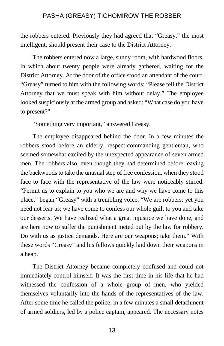the robbers entered. Previously they had agreed that "Greasy," the most intelligent, should present their case to the District Attorney.

The robbers entered now a large, sunny room, with hardwood floors, in which about twenty people were already gathered, waiting for the District Attorney. At the door of the office stood an attendant of the court. "Greasy" turned to him with the following words: "Please tell the District Attorney that we must speak with him without delay." The employee looked suspiciously at the armed group and asked: "What case do you have to present?"

"Something very important," answered Greasy.

The employee disappeared behind the door. In a few minutes the robbers stood before an elderly, respect-commanding gentleman, who seemed somewhat excited by the unexpected appearance of seven armed men. The robbers also, even though they had determined before leaving the backwoods to take the unusual step of free confession, when they stood face to face with the representative of the law were noticeably stirred. "Permit us to explain to you who we are and why we have come to this place," began "Greasy" with a trembling voice. "We are robbers; yet you need not fear us; we have come to confess our whole guilt to you and take our desserts. We have realized what a great injustice we have done, and are here now to suffer the punishment meted out by the law for robbery. Do with us as justice demands. Here are our weapons; take them." With these words "Greasy" and his fellows quickly laid down their weapons in a heap.

The District Attorney became completely confused and could not immediately control himself. It was the first time in his life that he had witnessed the confession of a whole group of men, who yielded themselves voluntarily into the hands of the representatives of the law. After some time he called the police; in a few minutes a small detachment of armed soldiers, led by a police captain, appeared. The necessary notes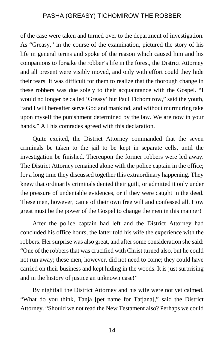of the case were taken and turned over to the department of investigation. As "Greasy," in the course of the examination, pictured the story of his life in general terms and spoke of the reason which caused him and his companions to forsake the robber's life in the forest, the District Attorney and all present were visibly moved, and only with effort could they hide their tears. It was difficult for them to realize that the thorough change in these robbers was due solely to their acquaintance with the Gospel. "I would no longer be called 'Greasy' but Paul Tichomirow," said the youth, "and I will hereafter serve God and mankind, and without murmuring take upon myself the punishment determined by the law. We are now in your hands." All his comrades agreed with this declaration.

Quite excited, the District Attorney commanded that the seven criminals be taken to the jail to be kept in separate cells, until the investigation be finished. Thereupon the former robbers were led away. The District Attorney remained alone with the police captain in the office; for a long time they discussed together this extraordinary happening. They knew that ordinarily criminals denied their guilt, or admitted it only under the pressure of undeniable evidences, or if they were caught in the deed. These men, however, came of their own free will and confessed all. How great must be the power of the Gospel to change the men in this manner!

After the police captain had left and the District Attorney had concluded his office hours, the latter told his wife the experience with the robbers. Her surprise was also great, and after some consideration she said: "One of the robbers that was crucified with Christ turned also, but he could not run away; these men, however, did not need to come; they could have carried on their business and kept hiding in the woods. It is just surprising and in the history of justice an unknown case!"

By nightfall the District Attorney and his wife were not yet calmed. "What do you think, Tanja [pet name for Tatjana]," said the District Attorney. "Should we not read the New Testament also? Perhaps we could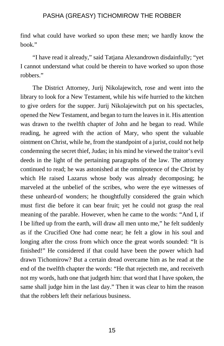find what could have worked so upon these men; we hardly know the book."

"I have read it already," said Tatjana Alexandrown disdainfully; "yet I cannot understand what could be therein to have worked so upon those robbers."

The District Attorney, Jurij Nikolajewitch, rose and went into the library to look for a New Testament, while his wife hurried to the kitchen to give orders for the supper. Jurij Nikolajewitch put on his spectacles, opened the New Testament, and began to turn the leaves in it. His attention was drawn to the twelfth chapter of John and he began to read. While reading, he agreed with the action of Mary, who spent the valuable ointment on Christ, while he, from the standpoint of a jurist, could not help condemning the secret thief, Judas; in his mind he viewed the traitor's evil deeds in the light of the pertaining paragraphs of the law. The attorney continued to read; he was astonished at the omnipotence of the Christ by which He raised Lazarus whose body was already decomposing; he marveled at the unbelief of the scribes, who were the eye witnesses of these unheard-of wonders; he thoughtfully considered the grain which must first die before it can bear fruit; yet he could not grasp the real meaning of the parable. However, when he came to the words: "And I, if I be lifted up from the earth, will draw all men unto me," he felt suddenly as if the Crucified One had come near; he felt a glow in his soul and longing after the cross from which once the great words sounded: "It is finished!" He considered if that could have been the power which had drawn Tichomirow? But a certain dread overcame him as he read at the end of the twelfth chapter the words: "He that rejecteth me, and receiveth not my words, hath one that judgeth him: that word that I have spoken, the same shall judge him in the last day." Then it was clear to him the reason that the robbers left their nefarious business.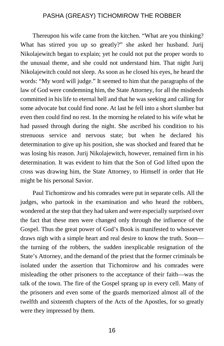Thereupon his wife came from the kitchen. "What are you thinking? What has stirred you up so greatly?" she asked her husband. Jurij Nikolajewitch began to explain; yet he could not put the proper words to the unusual theme, and she could not understand him. That night Jurij Nikolajewitch could not sleep. As soon as he closed his eyes, he heard the words: "My word will judge." It seemed to him that the paragraphs of the law of God were condemning him, the State Attorney, for all the misdeeds committed in his life to eternal hell and that he was seeking and calling for some advocate but could find none. At last he fell into a short slumber but even then could find no rest. In the morning he related to his wife what he had passed through during the night. She ascribed his condition to his strenuous service and nervous state; but when he declared his determination to give up his position, she was shocked and feared that he was losing his reason. Jurij Nikolajewitch, however, remained firm in his determination. It was evident to him that the Son of God lifted upon the cross was drawing him, the State Attorney, to Himself in order that He might be his personal Savior.

Paul Tichomirow and his comrades were put in separate cells. All the judges, who partook in the examination and who heard the robbers, wondered at the step that they had taken and were especially surprised over the fact that these men were changed only through the influence of the Gospel. Thus the great power of God's Book is manifested to whosoever draws nigh with a simple heart and real desire to know the truth. Soon the turning of the robbers, the sudden inexplicable resignation of the State's Attorney, and the demand of the priest that the former criminals be isolated under the assertion that Tichomirow and his comrades were misleading the other prisoners to the acceptance of their faith—was the talk of the town. The fire of the Gospel sprang up in every cell. Many of the prisoners and even some of the guards memorized almost all of the twelfth and sixteenth chapters of the Acts of the Apostles, for so greatly were they impressed by them.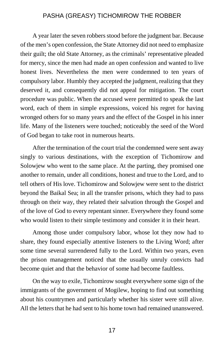A year later the seven robbers stood before the judgment bar. Because of the men's open confession, the State Attorney did not need to emphasize their guilt; the old State Attorney, as the criminals' representative pleaded for mercy, since the men had made an open confession and wanted to live honest lives. Nevertheless the men were condemned to ten years of compulsory labor. Humbly they accepted the judgment, realizing that they deserved it, and consequently did not appeal for mitigation. The court procedure was public. When the accused were permitted to speak the last word, each of them in simple expressions, voiced his regret for having wronged others for so many years and the effect of the Gospel in his inner life. Many of the listeners were touched; noticeably the seed of the Word of God began to take root in numerous hearts.

After the termination of the court trial the condemned were sent away singly to various destinations, with the exception of Tichomirow and Solowjew who went to the same place. At the parting, they promised one another to remain, under all conditions, honest and true to the Lord, and to tell others of His love. Tichomirow and Solowjew were sent to the district beyond the Baikal Sea; in all the transfer prisons, which they had to pass through on their way, they related their salvation through the Gospel and of the love of God to every repentant sinner. Everywhere they found some who would listen to their simple testimony and consider it in their heart.

Among those under compulsory labor, whose lot they now had to share, they found especially attentive listeners to the Living Word; after some time several surrendered fully to the Lord. Within two years, even the prison management noticed that the usually unruly convicts had become quiet and that the behavior of some had become faultless.

On the way to exile, Tichomirow sought everywhere some sign of the immigrants of the government of Mogilew, hoping to find out something about his countrymen and particularly whether his sister were still alive. All the letters that he had sent to his home town had remained unanswered.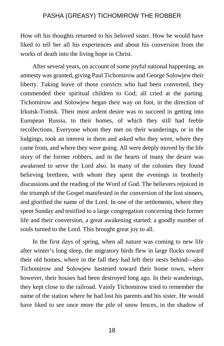How oft his thoughts returned to his beloved sister. How he would have liked to tell her all his experiences and about his conversion from the works of death into the living hope in Christ.

After several years, on account of some joyful national happening, an amnesty was granted, giving Paul Tichomirow and George Solowjew their liberty. Taking leave of those convicts who had been converted, they commended their spiritual children to God; all cried at the parting. Tichomirow and Solowjew began their way on foot, in the direction of Irkutsk-Tomsk. Their most ardent desire was to succeed in getting into European Russia, to their homes, of which they still had feeble recollections. Everyone whom they met on their wanderings, or in the lodgings, took an interest in them and asked who they were, where they came from, and where they were going. All were deeply moved by the life story of the former robbers, and in the hearts of many the desire was awakened to serve the Lord also. In many of the colonies they found believing brethren, with whom they spent the evenings in brotherly discussions and the reading of the Word of God. The believers rejoiced in the triumph of the Gospel manifested in the conversion of the lost sinners, and glorified the name of the Lord. In one of the settlements, where they spent Sunday and testified to a large congregation concerning their former life and their conversion, a great awakening started; a goodly number of souls turned to the Lord. This brought great joy to all.

In the first days of spring, when all nature was coming to new life after winter's long sleep, the migratory birds flew in large flocks toward their old homes, where in the fall they had left their nests behind—also Tichomirow and Solowjew hastened toward their home town, where however, their houses had been destroyed long ago. In their wanderings, they kept close to the railroad. Vainly Tichomirow tried to remember the name of the station where he had lost his parents and his sister. He would have liked to see once more the pile of snow fences, in the shadow of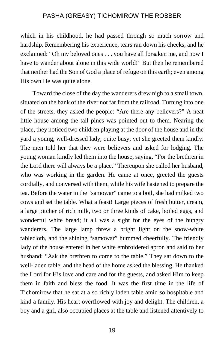which in his childhood, he had passed through so much sorrow and hardship. Remembering his experience, tears ran down his cheeks, and he exclaimed: "Oh my beloved ones . . . you have all forsaken me, and now I have to wander about alone in this wide world!" But then he remembered that neither had the Son of God a place of refuge on this earth; even among His own He was quite alone.

Toward the close of the day the wanderers drew nigh to a small town, situated on the bank of the river not far from the railroad. Turning into one of the streets, they asked the people: "Are there any believers?" A neat little house among the tall pines was pointed out to them. Nearing the place, they noticed two children playing at the door of the house and in the yard a young, well-dressed lady, quite busy; yet she greeted them kindly. The men told her that they were believers and asked for lodging. The young woman kindly led them into the house, saying, "For the brethren in the Lord there will always be a place." Thereupon she called her husband, who was working in the garden. He came at once, greeted the guests cordially, and conversed with them, while his wife hastened to prepare the tea. Before the water in the "samowar" came to a boil, she had milked two cows and set the table. What a feast! Large pieces of fresh butter, cream, a large pitcher of rich milk, two or three kinds of cake, boiled eggs, and wonderful white bread; it all was a sight for the eyes of the hungry wanderers. The large lamp threw a bright light on the snow-white tablecloth, and the shining "samowar" hummed cheerfully. The friendly lady of the house entered in her white embroidered apron and said to her husband: "Ask the brethren to come to the table." They sat down to the well-laden table, and the head of the home asked the blessing. He thanked the Lord for His love and care and for the guests, and asked Him to keep them in faith and bless the food. It was the first time in the life of Tichomirow that he sat at a so richly laden table amid so hospitable and kind a family. His heart overflowed with joy and delight. The children, a boy and a girl, also occupied places at the table and listened attentively to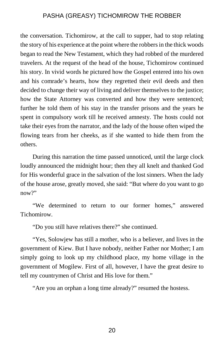the conversation. Tichomirow, at the call to supper, had to stop relating the story of his experience at the point where the robbers in the thick woods began to read the New Testament, which they had robbed of the murdered travelers. At the request of the head of the house, Tichomirow continued his story. In vivid words he pictured how the Gospel entered into his own and his comrade's hearts, how they regretted their evil deeds and then decided to change their way of living and deliver themselves to the justice; how the State Attorney was converted and how they were sentenced; further he told them of his stay in the transfer prisons and the years he spent in compulsory work till he received amnesty. The hosts could not take their eyes from the narrator, and the lady of the house often wiped the flowing tears from her cheeks, as if she wanted to hide them from the others.

During this narration the time passed unnoticed, until the large clock loudly announced the midnight hour; then they all knelt and thanked God for His wonderful grace in the salvation of the lost sinners. When the lady of the house arose, greatly moved, she said: "But where do you want to go now?"

"We determined to return to our former homes," answered **Tichomirow** 

"Do you still have relatives there?" she continued.

"Yes, Solowjew has still a mother, who is a believer, and lives in the government of Kiew. But I have nobody, neither Father nor Mother; I am simply going to look up my childhood place, my home village in the government of Mogilew. First of all, however, I have the great desire to tell my countrymen of Christ and His love for them."

"Are you an orphan a long time already?" resumed the hostess.

20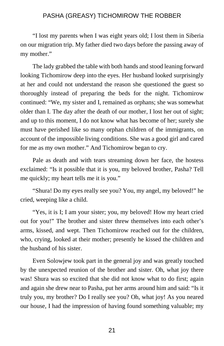"I lost my parents when I was eight years old; I lost them in Siberia on our migration trip. My father died two days before the passing away of my mother."

The lady grabbed the table with both hands and stood leaning forward looking Tichomirow deep into the eyes. Her husband looked surprisingly at her and could not understand the reason she questioned the guest so thoroughly instead of preparing the beds for the night. Tichomirow continued: "We, my sister and I, remained as orphans; she was somewhat older than I. The day after the death of our mother, I lost her out of sight; and up to this moment, I do not know what has become of her; surely she must have perished like so many orphan children of the immigrants, on account of the impossible living conditions. She was a good girl and cared for me as my own mother." And Tichomirow began to cry.

Pale as death and with tears streaming down her face, the hostess exclaimed: "Is it possible that it is you, my beloved brother, Pasha? Tell me quickly; my heart tells me it is you."

"Shura! Do my eyes really see you? You, my angel, my beloved!" he cried, weeping like a child.

"Yes, it is I; I am your sister; you, my beloved! How my heart cried out for you!" The brother and sister threw themselves into each other's arms, kissed, and wept. Then Tichomirow reached out for the children, who, crying, looked at their mother; presently he kissed the children and the husband of his sister.

Even Solowjew took part in the general joy and was greatly touched by the unexpected reunion of the brother and sister. Oh, what joy there was! Shura was so excited that she did not know what to do first; again and again she drew near to Pasha, put her arms around him and said: "Is it truly you, my brother? Do I really see you? Oh, what joy! As you neared our house, I had the impression of having found something valuable; my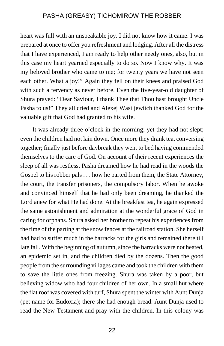heart was full with an unspeakable joy. I did not know how it came. I was prepared at once to offer you refreshment and lodging. After all the distress that I have experienced, I am ready to help other needy ones, also, but in this case my heart yearned especially to do so. Now I know why. It was my beloved brother who came to me; for twenty years we have not seen each other. What a joy!" Again they fell on their knees and praised God with such a fervency as never before. Even the five-year-old daughter of Shura prayed: "Dear Saviour, I thank Thee that Thou hast brought Uncle Pasha to us!" They all cried and Alexej Wasiljewitch thanked God for the valuable gift that God had granted to his wife.

It was already three o'clock in the morning; yet they had not slept; even the children had not lain down. Once more they drank tea, conversing together; finally just before daybreak they went to bed having commended themselves to the care of God. On account of their recent experiences the sleep of all was restless. Pasha dreamed how he had read in the woods the Gospel to his robber pals . . . how he parted from them, the State Attorney, the court, the transfer prisoners, the compulsory labor. When he awoke and convinced himself that he had only been dreaming, he thanked the Lord anew for what He had done. At the breakfast tea, he again expressed the same astonishment and admiration at the wonderful grace of God in caring for orphans. Shura asked her brother to repeat his experiences from the time of the parting at the snow fences at the railroad station. She herself had had to suffer much in the barracks for the girls and remained there till late fall. With the beginning of autumn, since the barracks were not heated, an epidemic set in, and the children died by the dozens. Then the good people from the surrounding villages came and took the children with them to save the little ones from freezing. Shura was taken by a poor, but believing widow who had four children of her own. In a small hut where the flat roof was covered with turf, Shura spent the winter with Aunt Dunja (pet name for Eudoxia); there she had enough bread. Aunt Dunja used to read the New Testament and pray with the children. In this colony was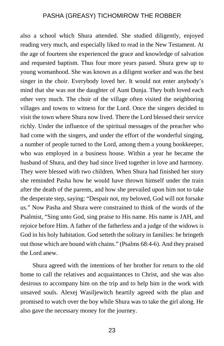also a school which Shura attended. She studied diligently, enjoyed reading very much, and especially liked to read in the New Testament. At the age of fourteen she experienced the grace and knowledge of salvation and requested baptism. Thus four more years passed. Shura grew up to young womanhood. She was known as a diligent worker and was the best singer in the choir. Everybody loved her. It would not enter anybody's mind that she was not the daughter of Aunt Dunja. They both loved each other very much. The choir of the village often visited the neighboring villages and towns to witness for the Lord. Once the singers decided to visit the town where Shura now lived. There the Lord blessed their service richly. Under the influence of the spiritual messages of the preacher who had come with the singers, and under the effort of the wonderful singing, a number of people turned to the Lord, among them a young bookkeeper, who was employed in a business house. Within a year he became the husband of Shura, and they had since lived together in love and harmony. They were blessed with two children. When Shura had finished her story she reminded Pasha how he would have thrown himself under the train after the death of the parents, and how she prevailed upon him not to take the desperate step, saying: "Despair not, my beloved, God will not forsake us." Now Pasha and Shura were constrained to think of the words of the Psalmist, "Sing unto God, sing praise to His name. His name is JAH, and rejoice before Him. A father of the fatherless and a judge of the widows is God in his holy habitation. God setteth the solitary in families: he bringeth out those which are bound with chains." (Psalms 68:4-6). And they praised the Lord anew.

Shura agreed with the intentions of her brother for return to the old home to call the relatives and acquaintances to Christ, and she was also desirous to accompany him on the trip and to help him in the work with unsaved souls. Alexej Wasiljewitch heartily agreed with the plan and promised to watch over the boy while Shura was to take the girl along. He also gave the necessary money for the journey.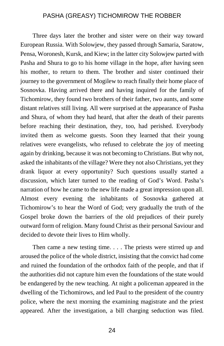Three days later the brother and sister were on their way toward European Russia. With Solowjew, they passed through Samaria, Saratow, Pensa, Woronesh, Kursk, and Kiew; in the latter city Solowjew parted with Pasha and Shura to go to his home village in the hope, after having seen his mother, to return to them. The brother and sister continued their journey to the government of Mogilew to reach finally their home place of Sosnovka. Having arrived there and having inquired for the family of Tichomirow, they found two brothers of their father, two aunts, and some distant relatives still living. All were surprised at the appearance of Pasha and Shura, of whom they had heard, that after the death of their parents before reaching their destination, they, too, had perished. Everybody invited them as welcome guests. Soon they learned that their young relatives were evangelists, who refused to celebrate the joy of meeting again by drinking, because it was not becoming to Christians. But why not, asked the inhabitants of the village? Were they not also Christians, yet they drank liquor at every opportunity? Such questions usually started a discussion, which later turned to the reading of God's Word. Pasha's narration of how he came to the new life made a great impression upon all. Almost every evening the inhabitants of Sosnovka gathered at Tichomirow's to hear the Word of God; very gradually the truth of the Gospel broke down the barriers of the old prejudices of their purely outward form of religion. Many found Christ as their personal Saviour and decided to devote their lives to Him wholly.

Then came a new testing time. . . . The priests were stirred up and aroused the police of the whole district, insisting that the convict had come and ruined the foundation of the orthodox faith of the people, and that if the authorities did not capture him even the foundations of the state would be endangered by the new teaching. At night a policeman appeared in the dwelling of the Tichomirows, and led Paul to the president of the country police, where the next morning the examining magistrate and the priest appeared. After the investigation, a bill charging seduction was filed.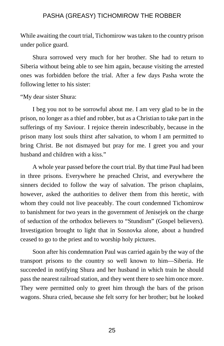While awaiting the court trial, Tichomirow was taken to the country prison under police guard.

Shura sorrowed very much for her brother. She had to return to Siberia without being able to see him again, because visiting the arrested ones was forbidden before the trial. After a few days Pasha wrote the following letter to his sister:

"My dear sister Shura:

I beg you not to be sorrowful about me. I am very glad to be in the prison, no longer as a thief and robber, but as a Christian to take part in the sufferings of my Saviour. I rejoice therein indescribably, because in the prison many lost souls thirst after salvation, to whom I am permitted to bring Christ. Be not dismayed but pray for me. I greet you and your husband and children with a kiss."

A whole year passed before the court trial. By that time Paul had been in three prisons. Everywhere he preached Christ, and everywhere the sinners decided to follow the way of salvation. The prison chaplains, however, asked the authorities to deliver them from this heretic, with whom they could not live peaceably. The court condemned Tichomirow to banishment for two years in the government of Jenisejek on the charge of seduction of the orthodox believers to "Stundism" (Gospel believers). Investigation brought to light that in Sosnovka alone, about a hundred ceased to go to the priest and to worship holy pictures.

Soon after his condemnation Paul was carried again by the way of the transport prisons to the country so well known to him—Siberia. He succeeded in notifying Shura and her husband in which train he should pass the nearest railroad station, and they went there to see him once more. They were permitted only to greet him through the bars of the prison wagons. Shura cried, because she felt sorry for her brother; but he looked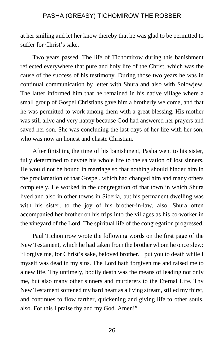at her smiling and let her know thereby that he was glad to be permitted to suffer for Christ's sake.

Two years passed. The life of Tichomirow during this banishment reflected everywhere that pure and holy life of the Christ, which was the cause of the success of his testimony. During those two years he was in continual communication by letter with Shura and also with Solowjew. The latter informed him that he remained in his native village where a small group of Gospel Christians gave him a brotherly welcome, and that he was permitted to work among them with a great blessing. His mother was still alive and very happy because God had answered her prayers and saved her son. She was concluding the last days of her life with her son, who was now an honest and chaste Christian.

After finishing the time of his banishment, Pasha went to his sister, fully determined to devote his whole life to the salvation of lost sinners. He would not be bound in marriage so that nothing should hinder him in the proclamation of that Gospel, which had changed him and many others completely. He worked in the congregation of that town in which Shura lived and also in other towns in Siberia, but his permanent dwelling was with his sister, to the joy of his brother-in-law, also. Shura often accompanied her brother on his trips into the villages as his co-worker in the vineyard of the Lord. The spiritual life of the congregation progressed.

Paul Tichomirow wrote the following words on the first page of the New Testament, which he had taken from the brother whom he once slew: "Forgive me, for Christ's sake, beloved brother. I put you to death while I myself was dead in my sins. The Lord hath forgiven me and raised me to a new life. Thy untimely, bodily death was the means of leading not only me, but also many other sinners and murderers to the Eternal Life. Thy New Testament softened my hard heart as a living stream, stilled my thirst, and continues to flow farther, quickening and giving life to other souls, also. For this I praise thy and my God. Amen!"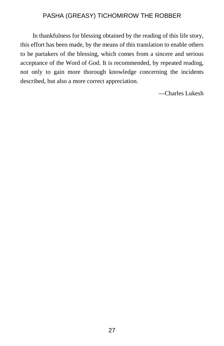In thankfulness for blessing obtained by the reading of this life story, this effort has been made, by the means of this translation to enable others to be partakers of the blessing, which comes from a sincere and serious acceptance of the Word of God. It is recommended, by repeated reading, not only to gain more thorough knowledge concerning the incidents described, but also a more correct appreciation.

—Charles Lukesh